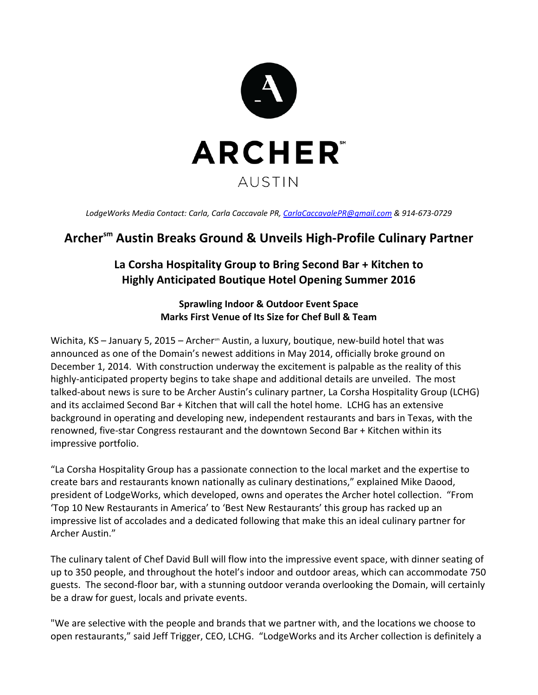

*LodgeWorks Media Contact: Carla, Carla Caccavale PR, CarlaCaccavalePR@gmail.com & 914‐673‐0729*

# **Archersm Austin Breaks Ground & Unveils High‐Profile Culinary Partner**

## **La Corsha Hospitality Group to Bring Second Bar + Kitchen to Highly Anticipated Boutique Hotel Opening Summer 2016**

### **Sprawling Indoor & Outdoor Event Space Marks First Venue of Its Size for Chef Bull & Team**

Wichita, KS – January 5, 2015 – Archer<sup>sm</sup> Austin, a luxury, boutique, new-build hotel that was announced as one of the Domain's newest additions in May 2014, officially broke ground on December 1, 2014. With construction underway the excitement is palpable as the reality of this highly-anticipated property begins to take shape and additional details are unveiled. The most talked‐about news is sure to be Archer Austin's culinary partner, La Corsha Hospitality Group (LCHG) and its acclaimed Second Bar + Kitchen that will call the hotel home. LCHG has an extensive background in operating and developing new, independent restaurants and bars in Texas, with the renowned, five‐star Congress restaurant and the downtown Second Bar + Kitchen within its impressive portfolio.

"La Corsha Hospitality Group has a passionate connection to the local market and the expertise to create bars and restaurants known nationally as culinary destinations," explained Mike Daood, president of LodgeWorks, which developed, owns and operates the Archer hotel collection. "From 'Top 10 New Restaurants in America' to 'Best New Restaurants' this group has racked up an impressive list of accolades and a dedicated following that make this an ideal culinary partner for Archer Austin."

The culinary talent of Chef David Bull will flow into the impressive event space, with dinner seating of up to 350 people, and throughout the hotel's indoor and outdoor areas, which can accommodate 750 guests. The second‐floor bar, with a stunning outdoor veranda overlooking the Domain, will certainly be a draw for guest, locals and private events.

"We are selective with the people and brands that we partner with, and the locations we choose to open restaurants," said Jeff Trigger, CEO, LCHG. "LodgeWorks and its Archer collection is definitely a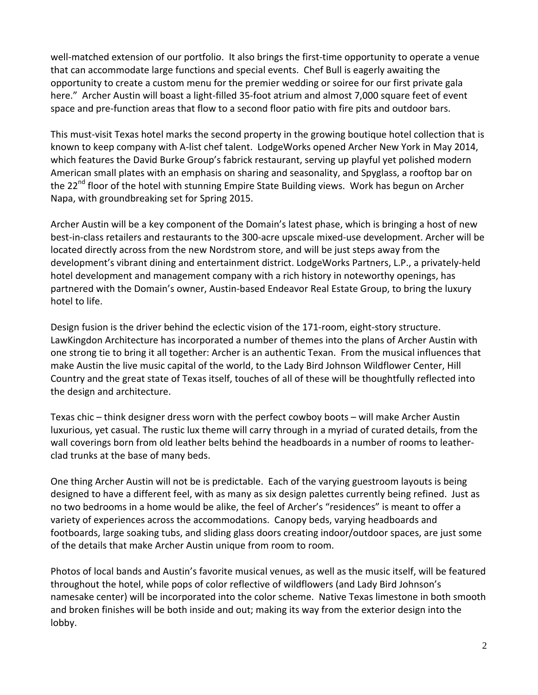well-matched extension of our portfolio. It also brings the first-time opportunity to operate a venue that can accommodate large functions and special events. Chef Bull is eagerly awaiting the opportunity to create a custom menu for the premier wedding or soiree for our first private gala here." Archer Austin will boast a light-filled 35-foot atrium and almost 7,000 square feet of event space and pre‐function areas that flow to a second floor patio with fire pits and outdoor bars.

This must‐visit Texas hotel marks the second property in the growing boutique hotel collection that is known to keep company with A‐list chef talent. LodgeWorks opened Archer New York in May 2014, which features the David Burke Group's fabrick restaurant, serving up playful yet polished modern American small plates with an emphasis on sharing and seasonality, and Spyglass, a rooftop bar on the 22<sup>nd</sup> floor of the hotel with stunning Empire State Building views. Work has begun on Archer Napa, with groundbreaking set for Spring 2015.

Archer Austin will be a key component of the Domain's latest phase, which is bringing a host of new best-in-class retailers and restaurants to the 300-acre upscale mixed-use development. Archer will be located directly across from the new Nordstrom store, and will be just steps away from the development's vibrant dining and entertainment district. LodgeWorks Partners, L.P., a privately‐held hotel development and management company with a rich history in noteworthy openings, has partnered with the Domain's owner, Austin‐based Endeavor Real Estate Group, to bring the luxury hotel to life.

Design fusion is the driver behind the eclectic vision of the 171-room, eight-story structure. LawKingdon Architecture has incorporated a number of themes into the plans of Archer Austin with one strong tie to bring it all together: Archer is an authentic Texan. From the musical influences that make Austin the live music capital of the world, to the Lady Bird Johnson Wildflower Center, Hill Country and the great state of Texas itself, touches of all of these will be thoughtfully reflected into the design and architecture.

Texas chic – think designer dress worn with the perfect cowboy boots – will make Archer Austin luxurious, yet casual. The rustic lux theme will carry through in a myriad of curated details, from the wall coverings born from old leather belts behind the headboards in a number of rooms to leather‐ clad trunks at the base of many beds.

One thing Archer Austin will not be is predictable. Each of the varying guestroom layouts is being designed to have a different feel, with as many as six design palettes currently being refined. Just as no two bedrooms in a home would be alike, the feel of Archer's "residences" is meant to offer a variety of experiences across the accommodations. Canopy beds, varying headboards and footboards, large soaking tubs, and sliding glass doors creating indoor/outdoor spaces, are just some of the details that make Archer Austin unique from room to room.

Photos of local bands and Austin's favorite musical venues, as well as the music itself, will be featured throughout the hotel, while pops of color reflective of wildflowers (and Lady Bird Johnson's namesake center) will be incorporated into the color scheme. Native Texas limestone in both smooth and broken finishes will be both inside and out; making its way from the exterior design into the lobby.